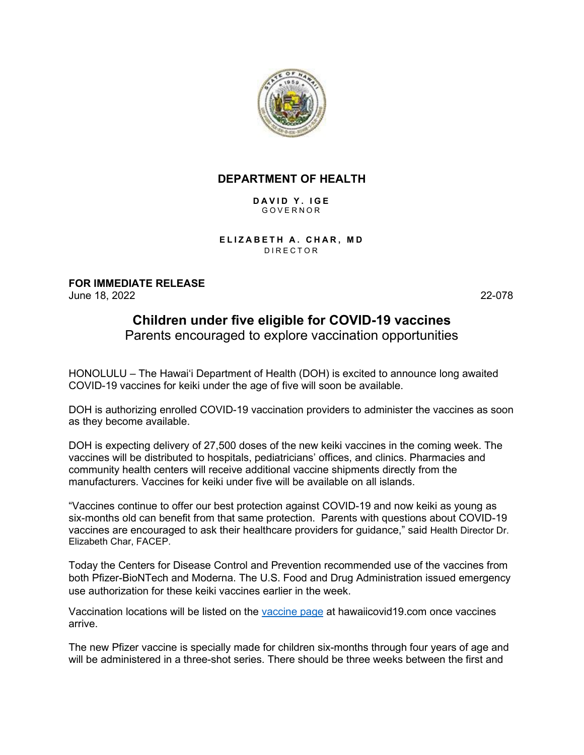

## **DEPARTMENT OF HEALTH**

**DAVID Y. IGE** GOVERNOR

**ELIZABETH A. CHAR, MD** DIRECTOR

**FOR IMMEDIATE RELEASE** June 18, 2022 22-078

## **Children under five eligible for COVID-19 vaccines**

Parents encouraged to explore vaccination opportunities

HONOLULU – The Hawai'i Department of Health (DOH) is excited to announce long awaited COVID-19 vaccines for keiki under the age of five will soon be available.

DOH is authorizing enrolled COVID-19 vaccination providers to administer the vaccines as soon as they become available.

DOH is expecting delivery of 27,500 doses of the new keiki vaccines in the coming week. The vaccines will be distributed to hospitals, pediatricians' offices, and clinics. Pharmacies and community health centers will receive additional vaccine shipments directly from the manufacturers. Vaccines for keiki under five will be available on all islands.

"Vaccines continue to offer our best protection against COVID-19 and now keiki as young as six-months old can benefit from that same protection. Parents with questions about COVID-19 vaccines are encouraged to ask their healthcare providers for guidance," said Health Director Dr. Elizabeth Char, FACEP.

Today the Centers for Disease Control and Prevention recommended use of the vaccines from both Pfizer-BioNTech and Moderna. The U.S. Food and Drug Administration issued emergency use authorization for these keiki vaccines earlier in the week.

Vaccination locations will be listed on the [vaccine page](https://hawaiicovid19.com/vaccine-info/) at hawaiicovid19.com once vaccines arrive.

The new Pfizer vaccine is specially made for children six-months through four years of age and will be administered in a three-shot series. There should be three weeks between the first and